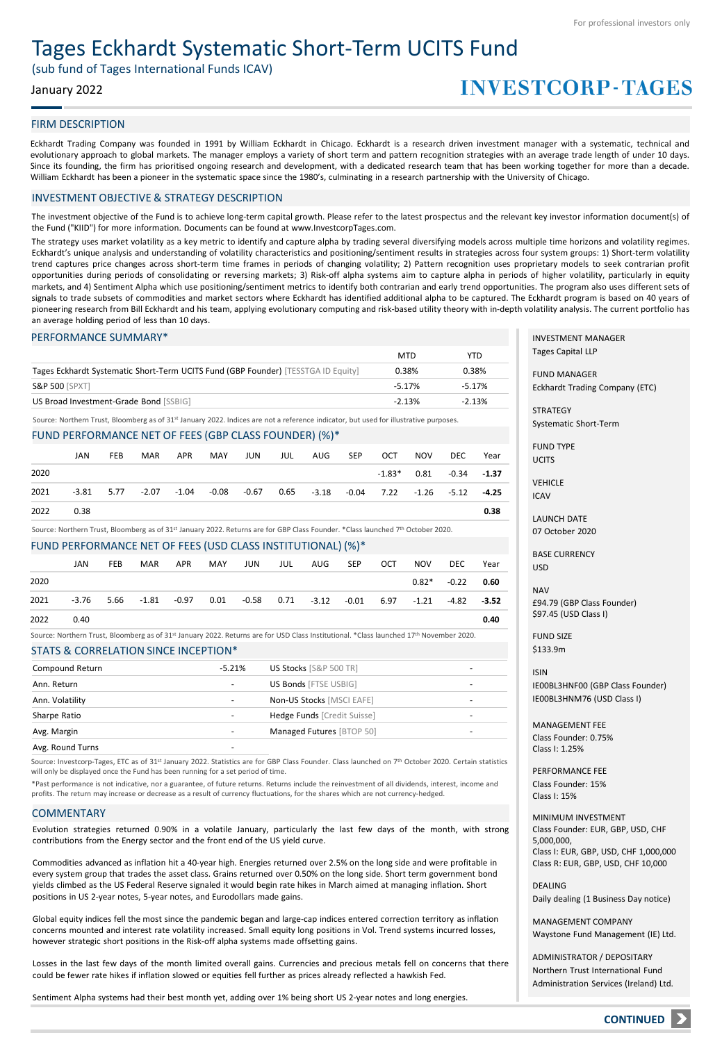# Tages Eckhardt Systematic Short-Term UCITS Fund

(sub fund of Tages International Funds ICAV)

# January 2022

# **INVESTCORP-TAGES**

### FIRM DESCRIPTION

Eckhardt Trading Company was founded in 1991 by William Eckhardt in Chicago. Eckhardt is a research driven investment manager with a systematic, technical and evolutionary approach to global markets. The manager employs a variety of short term and pattern recognition strategies with an average trade length of under 10 days. Since its founding, the firm has prioritised ongoing research and development, with a dedicated research team that has been working together for more than a decade. William Eckhardt has been a pioneer in the systematic space since the 1980's, culminating in a research partnership with the University of Chicago.

## INVESTMENT OBJECTIVE & STRATEGY DESCRIPTION

The investment objective of the Fund is to achieve long-term capital growth. Please refer to the latest prospectus and the relevant key investor information document(s) of the Fund ("KIID") for more information. Documents can be found at www.InvestcorpTages.com.

The strategy uses market volatility as a key metric to identify and capture alpha by trading several diversifying models across multiple time horizons and volatility regimes. Eckhardt's unique analysis and understanding of volatility characteristics and positioning/sentiment results in strategies across four system groups: 1) Short-term volatility trend captures price changes across short-term time frames in periods of changing volatility; 2) Pattern recognition uses proprietary models to seek contrarian profit opportunities during periods of consolidating or reversing markets; 3) Risk-off alpha systems aim to capture alpha in periods of higher volatility, particularly in equity markets, and 4) Sentiment Alpha which use positioning/sentiment metrics to identify both contrarian and early trend opportunities. The program also uses different sets of signals to trade subsets of commodities and market sectors where Eckhardt has identified additional alpha to be captured. The Eckhardt program is based on 40 years of pioneering research from Bill Eckhardt and his team, applying evolutionary computing and risk-based utility theory with in-depth volatility analysis. The current portfolio has an average holding period of less than 10 days.

### PERFORMANCE SUMMARY\*

|                                                                                   | <b>MTD</b> | <b>YTD</b> |
|-----------------------------------------------------------------------------------|------------|------------|
| Tages Eckhardt Systematic Short-Term UCITS Fund (GBP Founder) [TESSTGA ID Equity] | 0.38%      | 0.38%      |
| <b>S&amp;P 500 [SPXT]</b>                                                         | $-5.17%$   | $-5.17%$   |
| US Broad Investment-Grade Bond [SSBIG]                                            | $-2.13%$   | $-2.13%$   |

Source: Northern Trust, Bloomberg as of 31st January 2022. Indices are not a reference indicator, but used for illustrative purposes.

### FUND PERFORMANCE NET OF FEES (GBP CLASS FOUNDER) (%)\*

|      | JAN  | <b>FEB</b>   | MAR   | APR | MAY | JUN | JUL | AUG | SEP | OCT                                                                           | <b>NOV</b> | DEC.                        | Year |
|------|------|--------------|-------|-----|-----|-----|-----|-----|-----|-------------------------------------------------------------------------------|------------|-----------------------------|------|
| 2020 |      |              |       |     |     |     |     |     |     |                                                                               |            | $-1.83*$ 0.81 $-0.34$ -1.37 |      |
| 2021 |      | $-3.81$ 5.77 | -2.07 |     |     |     |     |     |     | $-1.04$ $-0.08$ $-0.67$ $0.65$ $-3.18$ $-0.04$ $7.22$ $-1.26$ $-5.12$ $-4.25$ |            |                             |      |
| 2022 | 0.38 |              |       |     |     |     |     |     |     |                                                                               |            |                             | 0.38 |

Source: Northern Trust, Bloomberg as of 31st January 2022. Returns are for GBP Class Founder. \*Class launched 7th October 2020.

### FUND PERFORMANCE NET OF FEES (USD CLASS INSTITUTIONAL) (%)\*

|      | JAN  | <b>FEB</b> | <b>MAR</b> | APR                               | MAY | JUN | JUL | AUG                                                       | SEP | OCT | <b>NOV</b> | DEC            | Year |
|------|------|------------|------------|-----------------------------------|-----|-----|-----|-----------------------------------------------------------|-----|-----|------------|----------------|------|
| 2020 |      |            |            |                                   |     |     |     |                                                           |     |     |            | $0.82^* -0.22$ | 0.60 |
| 2021 |      |            |            | $-3.76$ 5.66 $-1.81$ $-0.97$ 0.01 |     |     |     | $-0.58$ 0.71 $-3.12$ $-0.01$ 6.97 $-1.21$ $-4.82$ $-3.52$ |     |     |            |                |      |
| 2022 | 0.40 |            |            |                                   |     |     |     |                                                           |     |     |            |                | 0.40 |

STATS & CORRELATION SINCE INCEPTION\* Source: Northern Trust, Bloomberg as of 31st January 2022. Returns are for USD Class Institutional. \*Class launched 17th November 2020.

| Compound Return | $-5.21%$ | US Stocks [S&P 500 TR]      | ۰ |
|-----------------|----------|-----------------------------|---|
| Ann. Return     |          | US Bonds [FTSE USBIG]       | ۰ |
| Ann. Volatility | -        | Non-US Stocks [MSCI EAFE]   | - |
| Sharpe Ratio    |          | Hedge Funds [Credit Suisse] | ۰ |
| Avg. Margin     | -        | Managed Futures [BTOP 50]   | ۰ |
|                 |          |                             |   |

Avg. Round Turns

Source: Investcorp-Tages, ETC as of 31st January 2022. Statistics are for GBP Class Founder. Class launched on 7<sup>th</sup> October 2020. Certain statistics will only be displayed once the Fund has been running for a set period of time.

\*Past performance is not indicative, nor a guarantee, of future returns. Returns include the reinvestment of all dividends, interest, income and profits. The return may increase or decrease as a result of currency fluctuations, for the shares which are not currency-hedged.

### **COMMENTARY**

Evolution strategies returned 0.90% in a volatile January, particularly the last few days of the month, with strong contributions from the Energy sector and the front end of the US yield curve.

Commodities advanced as inflation hit a 40-year high. Energies returned over 2.5% on the long side and were profitable in every system group that trades the asset class. Grains returned over 0.50% on the long side. Short term government bond yields climbed as the US Federal Reserve signaled it would begin rate hikes in March aimed at managing inflation. Short positions in US 2-year notes, 5-year notes, and Eurodollars made gains.

Global equity indices fell the most since the pandemic began and large-cap indices entered correction territory as inflation concerns mounted and interest rate volatility increased. Small equity long positions in Vol. Trend systems incurred losses, however strategic short positions in the Risk-off alpha systems made offsetting gains.

Losses in the last few days of the month limited overall gains. Currencies and precious metals fell on concerns that there could be fewer rate hikes if inflation slowed or equities fell further as prices already reflected a hawkish Fed.

Sentiment Alpha systems had their best month yet, adding over 1% being short US 2-year notes and long energies.

INVESTMENT MANAGER Tages Capital LLP

FUND MANAGER Eckhardt Trading Company (ETC)

**STRATEGY** Systematic Short-Term

FUND TYPE UCITS

VEHICLE ICAV

LAUNCH DATE

07 October 2020

BASE CURRENCY USD

**NAV** £94.79 (GBP Class Founder) \$97.45 (USD Class I)

FUND SIZE \$133.9m

ISIN IE00BL3HNF00 (GBP Class Founder) IE00BL3HNM76 (USD Class I)

MANAGEMENT FEE Class Founder: 0.75% Class I: 1.25%

PERFORMANCE FEE Class Founder: 15% Class I: 15%

MINIMUM INVESTMENT Class Founder: EUR, GBP, USD, CHF 5,000,000, Class I: EUR, GBP, USD, CHF 1,000,000 Class R: EUR, GBP, USD, CHF 10,000

DEALING Daily dealing (1 Business Day notice)

MANAGEMENT COMPANY Waystone Fund Management (IE) Ltd.

ADMINISTRATOR / DEPOSITARY Northern Trust International Fund Administration Services (Ireland) Ltd.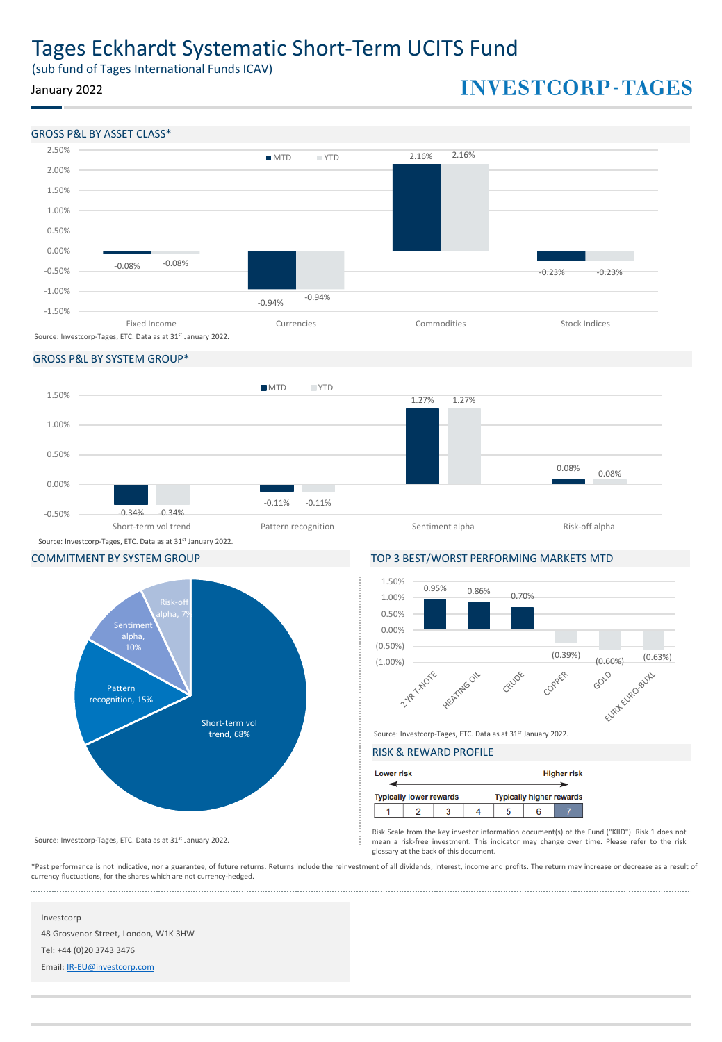# Tages Eckhardt Systematic Short-Term UCITS Fund

(sub fund of Tages International Funds ICAV)

# January 2022

# **INVESTCORP-TAGES**



## GROSS P&L BY SYSTEM GROUP\*





COMMITMENT BY SYSTEM GROUP TOP 3 BEST/WORST PERFORMING MARKETS MTD



Source: Investcorp-Tages, ETC. Data as at 31<sup>st</sup> January 2022.

# RISK & REWARD PROFILE

| <b>Lower risk</b> |                                |  |                                 | <b>Higher risk</b> |
|-------------------|--------------------------------|--|---------------------------------|--------------------|
|                   | <b>Typically lower rewards</b> |  | <b>Typically higher rewards</b> |                    |
|                   |                                |  |                                 |                    |

Risk Scale from the key investor information document(s) of the Fund ("KIID"). Risk 1 does not mean a risk-free investment. This indicator may change over time. Please refer to the risk glossary at the back of this document.

\*Past performance is not indicative, nor a guarantee, of future returns. Returns include the reinvestment of all dividends, interest, income and profits. The return may increase or decrease as a result of currency fluctuations, for the shares which are not currency-hedged.

#### Investcorp

48 Grosvenor Street, London, W1K 3HW

Source: Investcorp-Tages, ETC. Data as at 31st January 2022.

Tel: +44 (0)20 3743 3476

Email: [IR-EU@investcorp.com](mailto:IR-EU@investcorp.com)